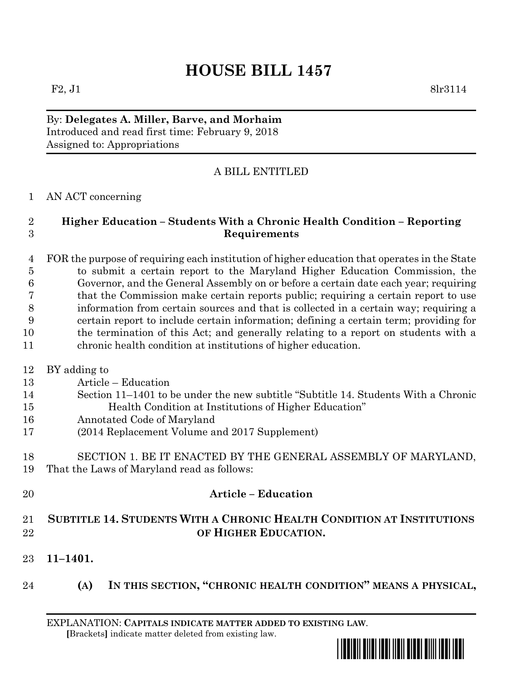# **HOUSE BILL 1457**

By: **Delegates A. Miller, Barve, and Morhaim** Introduced and read first time: February 9, 2018 Assigned to: Appropriations

# A BILL ENTITLED

## AN ACT concerning

## **Higher Education – Students With a Chronic Health Condition – Reporting Requirements**

 FOR the purpose of requiring each institution of higher education that operates in the State to submit a certain report to the Maryland Higher Education Commission, the Governor, and the General Assembly on or before a certain date each year; requiring that the Commission make certain reports public; requiring a certain report to use information from certain sources and that is collected in a certain way; requiring a certain report to include certain information; defining a certain term; providing for the termination of this Act; and generally relating to a report on students with a chronic health condition at institutions of higher education.

- BY adding to
- Article Education
- Section 11–1401 to be under the new subtitle "Subtitle 14. Students With a Chronic Health Condition at Institutions of Higher Education"
- Annotated Code of Maryland
- (2014 Replacement Volume and 2017 Supplement)
- SECTION 1. BE IT ENACTED BY THE GENERAL ASSEMBLY OF MARYLAND, That the Laws of Maryland read as follows:
- **Article – Education SUBTITLE 14. STUDENTS WITH A CHRONIC HEALTH CONDITION AT INSTITUTIONS OF HIGHER EDUCATION.**
- **11–1401.**
- **(A) IN THIS SECTION, "CHRONIC HEALTH CONDITION" MEANS A PHYSICAL,**

EXPLANATION: **CAPITALS INDICATE MATTER ADDED TO EXISTING LAW**.  **[**Brackets**]** indicate matter deleted from existing law.

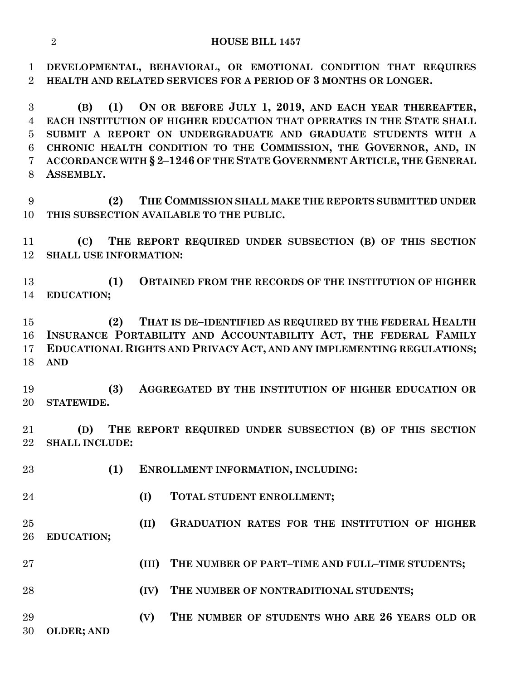#### **HOUSE BILL 1457**

 **DEVELOPMENTAL, BEHAVIORAL, OR EMOTIONAL CONDITION THAT REQUIRES HEALTH AND RELATED SERVICES FOR A PERIOD OF 3 MONTHS OR LONGER.**

 **(B) (1) ON OR BEFORE JULY 1, 2019, AND EACH YEAR THEREAFTER, EACH INSTITUTION OF HIGHER EDUCATION THAT OPERATES IN THE STATE SHALL SUBMIT A REPORT ON UNDERGRADUATE AND GRADUATE STUDENTS WITH A CHRONIC HEALTH CONDITION TO THE COMMISSION, THE GOVERNOR, AND, IN ACCORDANCE WITH § 2–1246 OF THE STATE GOVERNMENT ARTICLE, THE GENERAL ASSEMBLY.**

 **(2) THE COMMISSION SHALL MAKE THE REPORTS SUBMITTED UNDER THIS SUBSECTION AVAILABLE TO THE PUBLIC.**

 **(C) THE REPORT REQUIRED UNDER SUBSECTION (B) OF THIS SECTION SHALL USE INFORMATION:**

 **(1) OBTAINED FROM THE RECORDS OF THE INSTITUTION OF HIGHER EDUCATION;**

 **(2) THAT IS DE–IDENTIFIED AS REQUIRED BY THE FEDERAL HEALTH INSURANCE PORTABILITY AND ACCOUNTABILITY ACT, THE FEDERAL FAMILY EDUCATIONAL RIGHTS AND PRIVACY ACT, AND ANY IMPLEMENTING REGULATIONS; AND** 

 **(3) AGGREGATED BY THE INSTITUTION OF HIGHER EDUCATION OR STATEWIDE.**

 **(D) THE REPORT REQUIRED UNDER SUBSECTION (B) OF THIS SECTION SHALL INCLUDE:**

 **(1) ENROLLMENT INFORMATION, INCLUDING: (I) TOTAL STUDENT ENROLLMENT; (II) GRADUATION RATES FOR THE INSTITUTION OF HIGHER EDUCATION; (III) THE NUMBER OF PART–TIME AND FULL–TIME STUDENTS; (IV) THE NUMBER OF NONTRADITIONAL STUDENTS; (V) THE NUMBER OF STUDENTS WHO ARE 26 YEARS OLD OR OLDER; AND**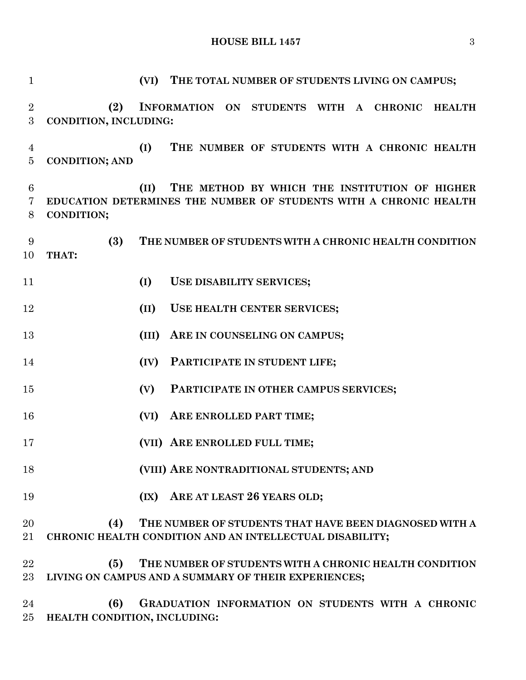**HOUSE BILL 1457** 3

 **(VI) THE TOTAL NUMBER OF STUDENTS LIVING ON CAMPUS; (2) INFORMATION ON STUDENTS WITH A CHRONIC HEALTH CONDITION, INCLUDING: (I) THE NUMBER OF STUDENTS WITH A CHRONIC HEALTH CONDITION; AND (II) THE METHOD BY WHICH THE INSTITUTION OF HIGHER EDUCATION DETERMINES THE NUMBER OF STUDENTS WITH A CHRONIC HEALTH CONDITION; (3) THE NUMBER OF STUDENTS WITH A CHRONIC HEALTH CONDITION THAT: (I) USE DISABILITY SERVICES; (II) USE HEALTH CENTER SERVICES; (III) ARE IN COUNSELING ON CAMPUS; (IV) PARTICIPATE IN STUDENT LIFE; (V) PARTICIPATE IN OTHER CAMPUS SERVICES; (VI) ARE ENROLLED PART TIME; (VII) ARE ENROLLED FULL TIME; (VIII) ARE NONTRADITIONAL STUDENTS; AND (IX) ARE AT LEAST 26 YEARS OLD; (4) THE NUMBER OF STUDENTS THAT HAVE BEEN DIAGNOSED WITH A CHRONIC HEALTH CONDITION AND AN INTELLECTUAL DISABILITY; (5) THE NUMBER OF STUDENTS WITH A CHRONIC HEALTH CONDITION LIVING ON CAMPUS AND A SUMMARY OF THEIR EXPERIENCES; (6) GRADUATION INFORMATION ON STUDENTS WITH A CHRONIC** 

**HEALTH CONDITION, INCLUDING:**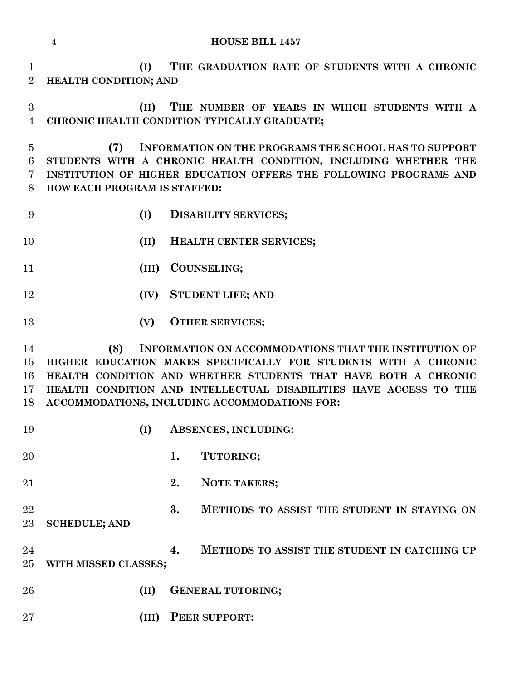|                                | <b>HOUSE BILL 1457</b><br>$\overline{4}$                                                                                                                                                                                                                                                                                |
|--------------------------------|-------------------------------------------------------------------------------------------------------------------------------------------------------------------------------------------------------------------------------------------------------------------------------------------------------------------------|
| $\mathbf{1}$<br>$\overline{2}$ | THE GRADUATION RATE OF STUDENTS WITH A CHRONIC<br>(I)<br>HEALTH CONDITION; AND                                                                                                                                                                                                                                          |
| 3<br>$\overline{4}$            | THE NUMBER OF YEARS IN WHICH STUDENTS WITH A<br>(II)<br>CHRONIC HEALTH CONDITION TYPICALLY GRADUATE;                                                                                                                                                                                                                    |
| $\overline{5}$<br>6<br>7<br>8  | (7)<br><b>INFORMATION ON THE PROGRAMS THE SCHOOL HAS TO SUPPORT</b><br>STUDENTS WITH A CHRONIC HEALTH CONDITION, INCLUDING WHETHER THE<br>INSTITUTION OF HIGHER EDUCATION OFFERS THE FOLLOWING PROGRAMS AND<br>HOW EACH PROGRAM IS STAFFED:                                                                             |
| 9                              | (I)<br><b>DISABILITY SERVICES;</b>                                                                                                                                                                                                                                                                                      |
| 10                             | (II)<br>HEALTH CENTER SERVICES;                                                                                                                                                                                                                                                                                         |
| 11                             | <b>COUNSELING;</b><br>(III)                                                                                                                                                                                                                                                                                             |
| 12                             | <b>STUDENT LIFE; AND</b><br>(IV)                                                                                                                                                                                                                                                                                        |
| 13                             | (V)<br><b>OTHER SERVICES;</b>                                                                                                                                                                                                                                                                                           |
| 14<br>15<br>16<br>17<br>18     | (8)<br>INFORMATION ON ACCOMMODATIONS THAT THE INSTITUTION OF<br>HIGHER EDUCATION MAKES SPECIFICALLY FOR STUDENTS WITH A CHRONIC<br>HEALTH CONDITION AND WHETHER STUDENTS THAT HAVE BOTH A CHRONIC<br>HEALTH CONDITION AND INTELLECTUAL DISABILITIES HAVE ACCESS TO THE<br>ACCOMMODATIONS, INCLUDING ACCOMMODATIONS FOR: |
| 19                             | (I)<br>ABSENCES, INCLUDING:                                                                                                                                                                                                                                                                                             |
| 20                             | 1.<br>TUTORING;                                                                                                                                                                                                                                                                                                         |
| 21                             | 2.<br>NOTE TAKERS;                                                                                                                                                                                                                                                                                                      |
| 22<br>$23\,$                   | 3.<br>METHODS TO ASSIST THE STUDENT IN STAYING ON<br><b>SCHEDULE; AND</b>                                                                                                                                                                                                                                               |
| 24<br>25                       | METHODS TO ASSIST THE STUDENT IN CATCHING UP<br>4.<br>WITH MISSED CLASSES;                                                                                                                                                                                                                                              |
| 26                             | <b>GENERAL TUTORING;</b><br>(II)                                                                                                                                                                                                                                                                                        |
| $27\,$                         | PEER SUPPORT;<br>(III)                                                                                                                                                                                                                                                                                                  |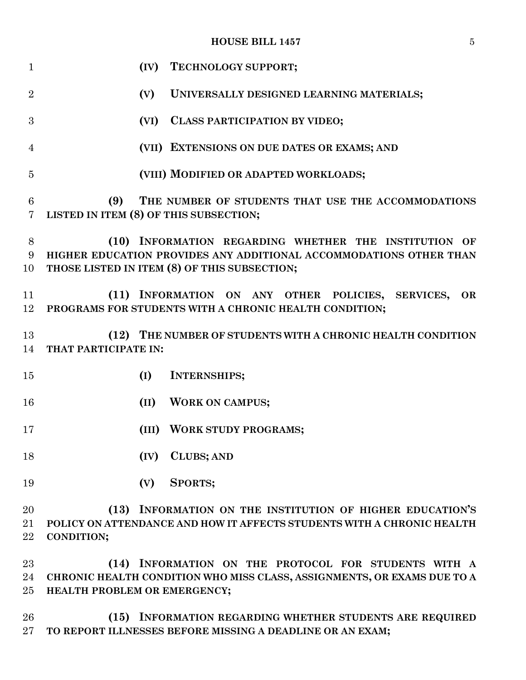## **HOUSE BILL 1457** 5

| 1                     | (IV)<br>TECHNOLOGY SUPPORT;                                                                                                                                                             |
|-----------------------|-----------------------------------------------------------------------------------------------------------------------------------------------------------------------------------------|
| $\overline{2}$        | (V)<br>UNIVERSALLY DESIGNED LEARNING MATERIALS;                                                                                                                                         |
| 3                     | CLASS PARTICIPATION BY VIDEO;<br>(VI)                                                                                                                                                   |
| $\overline{4}$        | (VII) EXTENSIONS ON DUE DATES OR EXAMS; AND                                                                                                                                             |
| 5                     | (VIII) MODIFIED OR ADAPTED WORKLOADS;                                                                                                                                                   |
| $\boldsymbol{6}$<br>7 | (9)<br>THE NUMBER OF STUDENTS THAT USE THE ACCOMMODATIONS<br>LISTED IN ITEM (8) OF THIS SUBSECTION;                                                                                     |
| 8<br>9<br>10          | (10) INFORMATION REGARDING WHETHER THE INSTITUTION OF<br>HIGHER EDUCATION PROVIDES ANY ADDITIONAL ACCOMMODATIONS OTHER THAN<br>THOSE LISTED IN ITEM (8) OF THIS SUBSECTION;             |
| 11<br>12              | (11) INFORMATION ON ANY OTHER POLICIES, SERVICES,<br><b>OR</b><br>PROGRAMS FOR STUDENTS WITH A CHRONIC HEALTH CONDITION;                                                                |
| 13<br>14              | (12) THE NUMBER OF STUDENTS WITH A CHRONIC HEALTH CONDITION<br>THAT PARTICIPATE IN:                                                                                                     |
| 15                    | <b>INTERNSHIPS;</b><br>(I)                                                                                                                                                              |
| 16                    | <b>WORK ON CAMPUS;</b><br>(II)                                                                                                                                                          |
| 17                    | <b>WORK STUDY PROGRAMS;</b><br>(III)                                                                                                                                                    |
| 18                    | <b>CLUBS; AND</b><br>(IV)                                                                                                                                                               |
| 19                    | <b>SPORTS;</b><br>(V)                                                                                                                                                                   |
| 20<br>21              | INFORMATION ON THE INSTITUTION OF HIGHER EDUCATION'S<br>(13)<br>POLICY ON ATTENDANCE AND HOW IT AFFECTS STUDENTS WITH A CHRONIC HEALTH                                                  |
| 22<br>23<br>24<br>25  | <b>CONDITION;</b><br>INFORMATION ON THE PROTOCOL FOR STUDENTS WITH A<br>(14)<br>CHRONIC HEALTH CONDITION WHO MISS CLASS, ASSIGNMENTS, OR EXAMS DUE TO A<br>HEALTH PROBLEM OR EMERGENCY; |
|                       |                                                                                                                                                                                         |

 **(15) INFORMATION REGARDING WHETHER STUDENTS ARE REQUIRED TO REPORT ILLNESSES BEFORE MISSING A DEADLINE OR AN EXAM;**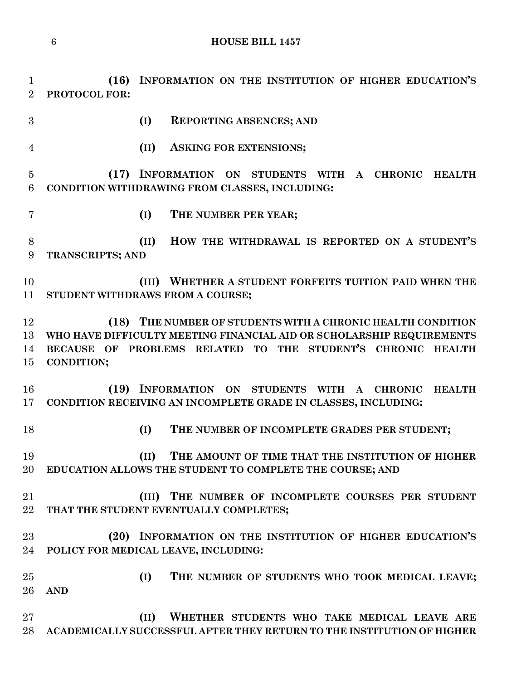**(16) INFORMATION ON THE INSTITUTION OF HIGHER EDUCATION'S PROTOCOL FOR:**

**(I) REPORTING ABSENCES; AND** 

**(II) ASKING FOR EXTENSIONS;**

 **(17) INFORMATION ON STUDENTS WITH A CHRONIC HEALTH CONDITION WITHDRAWING FROM CLASSES, INCLUDING:**

- 
- **(I) THE NUMBER PER YEAR;**

 **(II) HOW THE WITHDRAWAL IS REPORTED ON A STUDENT'S TRANSCRIPTS; AND**

 **(III) WHETHER A STUDENT FORFEITS TUITION PAID WHEN THE STUDENT WITHDRAWS FROM A COURSE;**

 **(18) THE NUMBER OF STUDENTS WITH A CHRONIC HEALTH CONDITION WHO HAVE DIFFICULTY MEETING FINANCIAL AID OR SCHOLARSHIP REQUIREMENTS BECAUSE OF PROBLEMS RELATED TO THE STUDENT'S CHRONIC HEALTH CONDITION;**

 **(19) INFORMATION ON STUDENTS WITH A CHRONIC HEALTH CONDITION RECEIVING AN INCOMPLETE GRADE IN CLASSES, INCLUDING:**

**(I) THE NUMBER OF INCOMPLETE GRADES PER STUDENT;**

 **(II) THE AMOUNT OF TIME THAT THE INSTITUTION OF HIGHER EDUCATION ALLOWS THE STUDENT TO COMPLETE THE COURSE; AND**

 **(III) THE NUMBER OF INCOMPLETE COURSES PER STUDENT THAT THE STUDENT EVENTUALLY COMPLETES;**

 **(20) INFORMATION ON THE INSTITUTION OF HIGHER EDUCATION'S POLICY FOR MEDICAL LEAVE, INCLUDING:**

 **(I) THE NUMBER OF STUDENTS WHO TOOK MEDICAL LEAVE; AND**

 **(II) WHETHER STUDENTS WHO TAKE MEDICAL LEAVE ARE ACADEMICALLY SUCCESSFUL AFTER THEY RETURN TO THE INSTITUTION OF HIGHER**